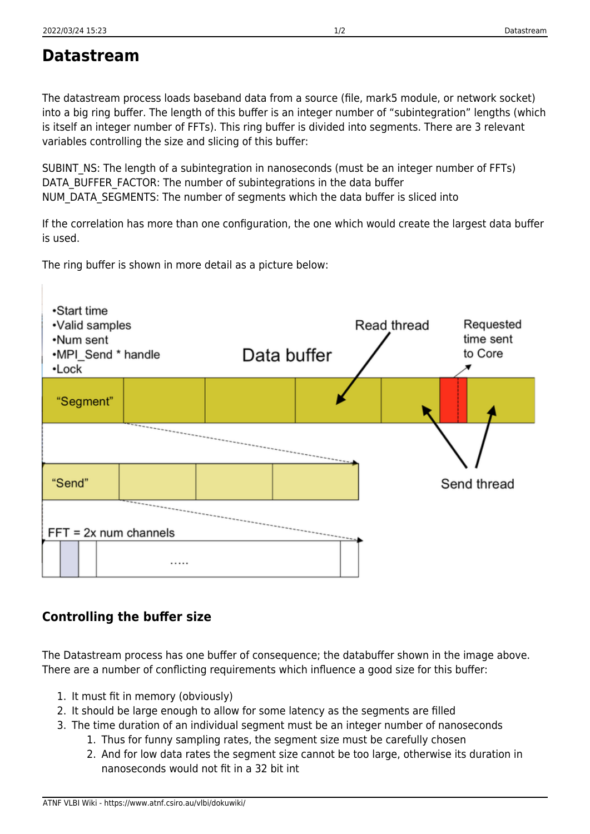## **Datastream**

The datastream process loads baseband data from a source (file, mark5 module, or network socket) into a big ring buffer. The length of this buffer is an integer number of "subintegration" lengths (which is itself an integer number of FFTs). This ring buffer is divided into segments. There are 3 relevant variables controlling the size and slicing of this buffer:

SUBINT NS: The length of a subintegration in nanoseconds (must be an integer number of FFTs) DATA\_BUFFER\_FACTOR: The number of subintegrations in the data buffer NUM\_DATA\_SEGMENTS: The number of segments which the data buffer is sliced into

If the correlation has more than one configuration, the one which would create the largest data buffer is used.

The ring buffer is shown in more detail as a picture below:



## **Controlling the buffer size**

The Datastream process has one buffer of consequence; the databuffer shown in the image above. There are a number of conflicting requirements which influence a good size for this buffer:

- 1. It must fit in memory (obviously)
- 2. It should be large enough to allow for some latency as the segments are filled
- 3. The time duration of an individual segment must be an integer number of nanoseconds
	- 1. Thus for funny sampling rates, the segment size must be carefully chosen
	- 2. And for low data rates the segment size cannot be too large, otherwise its duration in nanoseconds would not fit in a 32 bit int